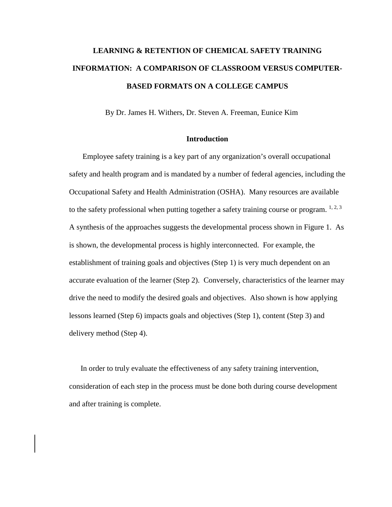# **LEARNING & RETENTION OF CHEMICAL SAFETY TRAINING INFORMATION: A COMPARISON OF CLASSROOM VERSUS COMPUTER-BASED FORMATS ON A COLLEGE CAMPUS**

By Dr. James H. Withers, Dr. Steven A. Freeman, Eunice Kim

#### **Introduction**

Employee safety training is a key part of any organization's overall occupational safety and health program and is mandated by a number of federal agencies, including the Occupational Safety and Health Administration (OSHA). Many resources are available to the safety professional when putting together a safety training course or program.  $1, 2, 3$ A synthesis of the approaches suggests the developmental process shown in Figure 1. As is shown, the developmental process is highly interconnected. For example, the establishment of training goals and objectives (Step 1) is very much dependent on an accurate evaluation of the learner (Step 2). Conversely, characteristics of the learner may drive the need to modify the desired goals and objectives. Also shown is how applying lessons learned (Step 6) impacts goals and objectives (Step 1), content (Step 3) and delivery method (Step 4).

In order to truly evaluate the effectiveness of any safety training intervention, consideration of each step in the process must be done both during course development and after training is complete.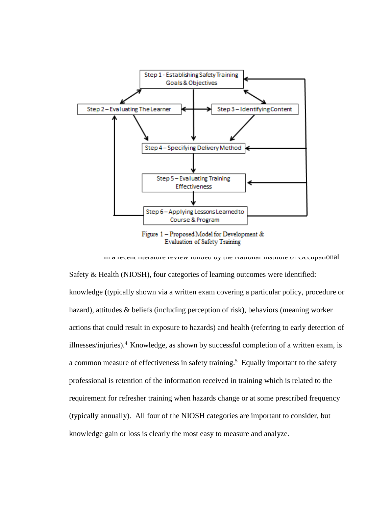

**Figure 1 – Proposed Model for Development & Evaluation of Safety Training** 

In a recent literature review funded by the National Institute of Occupational Safety & Health (NIOSH), four categories of learning outcomes were identified: knowledge (typically shown via a written exam covering a particular policy, procedure or hazard), attitudes & beliefs (including perception of risk), behaviors (meaning worker actions that could result in exposure to hazards) and health (referring to early detection of illnesses/injuries).4 Knowledge, as shown by successful completion of a written exam, is a common measure of effectiveness in safety training.<sup>5</sup> Equally important to the safety professional is retention of the information received in training which is related to the requirement for refresher training when hazards change or at some prescribed frequency (typically annually). All four of the NIOSH categories are important to consider, but knowledge gain or loss is clearly the most easy to measure and analyze.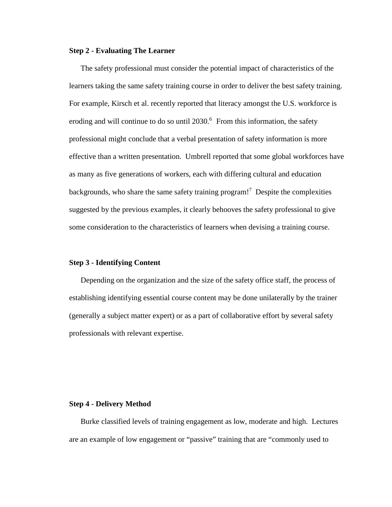## **Step 2 - Evaluating The Learner**

The safety professional must consider the potential impact of characteristics of the learners taking the same safety training course in order to deliver the best safety training. For example, Kirsch et al. recently reported that literacy amongst the U.S. workforce is eroding and will continue to do so until 2030.<sup>6</sup> From this information, the safety professional might conclude that a verbal presentation of safety information is more effective than a written presentation. Umbrell reported that some global workforces have as many as five generations of workers, each with differing cultural and education backgrounds, who share the same safety training program!<sup>7</sup> Despite the complexities suggested by the previous examples, it clearly behooves the safety professional to give some consideration to the characteristics of learners when devising a training course.

## **Step 3 - Identifying Content**

Depending on the organization and the size of the safety office staff, the process of establishing identifying essential course content may be done unilaterally by the trainer (generally a subject matter expert) or as a part of collaborative effort by several safety professionals with relevant expertise.

#### **Step 4 - Delivery Method**

Burke classified levels of training engagement as low, moderate and high. Lectures are an example of low engagement or "passive" training that are "commonly used to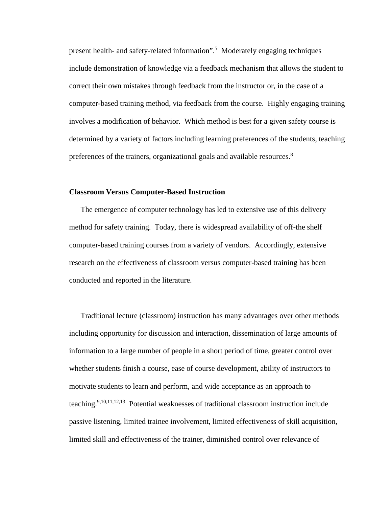present health- and safety-related information". 5 Moderately engaging techniques include demonstration of knowledge via a feedback mechanism that allows the student to correct their own mistakes through feedback from the instructor or, in the case of a computer-based training method, via feedback from the course. Highly engaging training involves a modification of behavior. Which method is best for a given safety course is determined by a variety of factors including learning preferences of the students, teaching preferences of the trainers, organizational goals and available resources.<sup>8</sup>

#### **Classroom Versus Computer-Based Instruction**

The emergence of computer technology has led to extensive use of this delivery method for safety training. Today, there is widespread availability of off-the shelf computer-based training courses from a variety of vendors. Accordingly, extensive research on the effectiveness of classroom versus computer-based training has been conducted and reported in the literature.

Traditional lecture (classroom) instruction has many advantages over other methods including opportunity for discussion and interaction, dissemination of large amounts of information to a large number of people in a short period of time, greater control over whether students finish a course, ease of course development, ability of instructors to motivate students to learn and perform, and wide acceptance as an approach to teaching.<sup>9,10,11,12,13</sup> Potential weaknesses of traditional classroom instruction include passive listening, limited trainee involvement, limited effectiveness of skill acquisition, limited skill and effectiveness of the trainer, diminished control over relevance of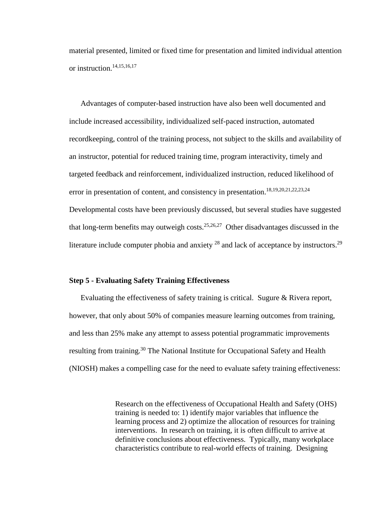material presented, limited or fixed time for presentation and limited individual attention or instruction.14,15,16,17

Advantages of computer-based instruction have also been well documented and include increased accessibility, individualized self-paced instruction, automated recordkeeping, control of the training process, not subject to the skills and availability of an instructor, potential for reduced training time, program interactivity, timely and targeted feedback and reinforcement, individualized instruction, reduced likelihood of error in presentation of content, and consistency in presentation.<sup>18,19,20,21,22,23,24</sup> Developmental costs have been previously discussed, but several studies have suggested that long-term benefits may outweigh costs.<sup>25,26,27</sup> Other disadvantages discussed in the literature include computer phobia and anxiety  $^{28}$  and lack of acceptance by instructors.<sup>29</sup>

#### **Step 5 - Evaluating Safety Training Effectiveness**

Evaluating the effectiveness of safety training is critical. Sugure & Rivera report, however, that only about 50% of companies measure learning outcomes from training, and less than 25% make any attempt to assess potential programmatic improvements resulting from training.<sup>30</sup> The National Institute for Occupational Safety and Health (NIOSH) makes a compelling case for the need to evaluate safety training effectiveness:

> Research on the effectiveness of Occupational Health and Safety (OHS) training is needed to: 1) identify major variables that influence the learning process and 2) optimize the allocation of resources for training interventions. In research on training, it is often difficult to arrive at definitive conclusions about effectiveness. Typically, many workplace characteristics contribute to real-world effects of training. Designing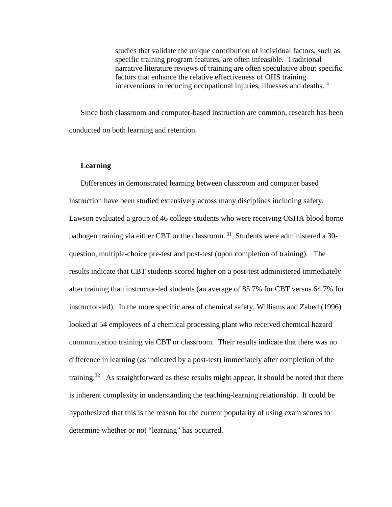studies that validate the unique contribution of individual factors, such as specific training program features, are often infeasible. Traditional narrative literature reviews of training are often speculative about specific factors that enhance the relative effectiveness of OHS training interventions in reducing occupational injuries, illnesses and deaths. 4

Since both classroom and computer-based instruction are common, research has been conducted on both learning and retention.

## **Learning**

Differences in demonstrated learning between classroom and computer based instruction have been studied extensively across many disciplines including safety. Lawson evaluated a group of 46 college students who were receiving OSHA blood borne pathogen training via either CBT or the classroom.  $31$  Students were administered a 30question, multiple-choice pre-test and post-test (upon completion of training). The results indicate that CBT students scored higher on a post-test administered immediately after training than instructor-led students (an average of 85.7% for CBT versus 64.7% for instructor-led). In the more specific area of chemical safety, Williams and Zahed (1996) looked at 54 employees of a chemical processing plant who received chemical hazard communication training via CBT or classroom. Their results indicate that there was no difference in learning (as indicated by a post-test) immediately after completion of the training.<sup>32</sup> As straightforward as these results might appear, it should be noted that there is inherent complexity in understanding the teaching-learning relationship. It could be hypothesized that this is the reason for the current popularity of using exam scores to determine whether or not "learning" has occurred.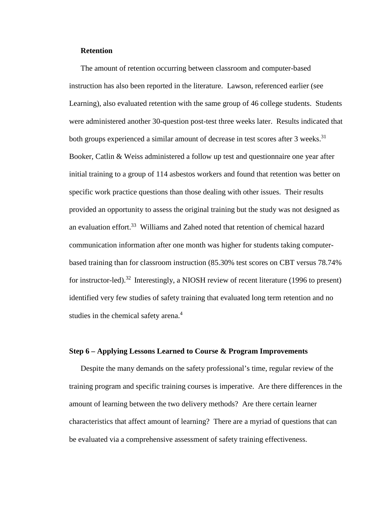## **Retention**

The amount of retention occurring between classroom and computer-based instruction has also been reported in the literature. Lawson, referenced earlier (see Learning), also evaluated retention with the same group of 46 college students. Students were administered another 30-question post-test three weeks later. Results indicated that both groups experienced a similar amount of decrease in test scores after 3 weeks.<sup>31</sup> Booker, Catlin & Weiss administered a follow up test and questionnaire one year after initial training to a group of 114 asbestos workers and found that retention was better on specific work practice questions than those dealing with other issues. Their results provided an opportunity to assess the original training but the study was not designed as an evaluation effort.<sup>33</sup> Williams and Zahed noted that retention of chemical hazard communication information after one month was higher for students taking computerbased training than for classroom instruction (85.30% test scores on CBT versus 78.74% for instructor-led).<sup>32</sup> Interestingly, a NIOSH review of recent literature (1996 to present) identified very few studies of safety training that evaluated long term retention and no studies in the chemical safety arena.<sup>4</sup>

## **Step 6 – Applying Lessons Learned to Course & Program Improvements**

Despite the many demands on the safety professional's time, regular review of the training program and specific training courses is imperative. Are there differences in the amount of learning between the two delivery methods? Are there certain learner characteristics that affect amount of learning? There are a myriad of questions that can be evaluated via a comprehensive assessment of safety training effectiveness.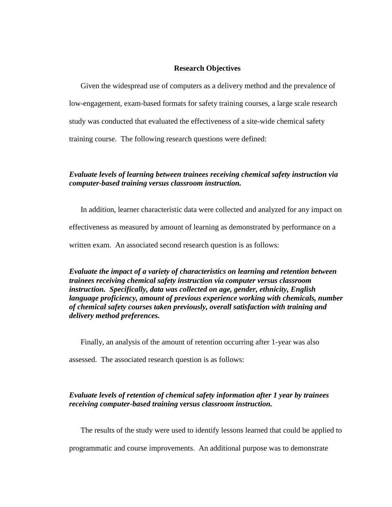## **Research Objectives**

Given the widespread use of computers as a delivery method and the prevalence of low-engagement, exam-based formats for safety training courses, a large scale research study was conducted that evaluated the effectiveness of a site-wide chemical safety training course. The following research questions were defined:

# *Evaluate levels of learning between trainees receiving chemical safety instruction via computer-based training versus classroom instruction.*

In addition, learner characteristic data were collected and analyzed for any impact on effectiveness as measured by amount of learning as demonstrated by performance on a written exam. An associated second research question is as follows:

*Evaluate the impact of a variety of characteristics on learning and retention between trainees receiving chemical safety instruction via computer versus classroom instruction. Specifically, data was collected on age, gender, ethnicity, English language proficiency, amount of previous experience working with chemicals, number of chemical safety courses taken previously, overall satisfaction with training and delivery method preferences.*

Finally, an analysis of the amount of retention occurring after 1-year was also

assessed. The associated research question is as follows:

# *Evaluate levels of retention of chemical safety information after 1 year by trainees receiving computer-based training versus classroom instruction.*

The results of the study were used to identify lessons learned that could be applied to

programmatic and course improvements. An additional purpose was to demonstrate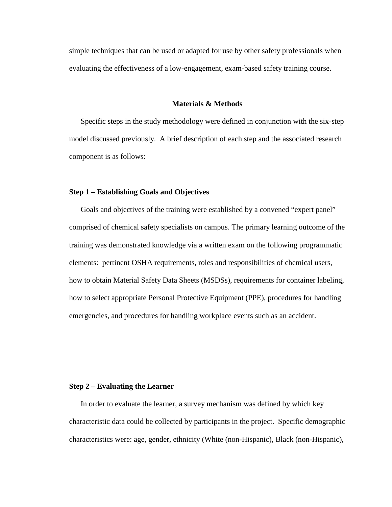simple techniques that can be used or adapted for use by other safety professionals when evaluating the effectiveness of a low-engagement, exam-based safety training course.

#### **Materials & Methods**

Specific steps in the study methodology were defined in conjunction with the six-step model discussed previously. A brief description of each step and the associated research component is as follows:

#### **Step 1 – Establishing Goals and Objectives**

Goals and objectives of the training were established by a convened "expert panel" comprised of chemical safety specialists on campus. The primary learning outcome of the training was demonstrated knowledge via a written exam on the following programmatic elements: pertinent OSHA requirements, roles and responsibilities of chemical users, how to obtain Material Safety Data Sheets (MSDSs), requirements for container labeling, how to select appropriate Personal Protective Equipment (PPE), procedures for handling emergencies, and procedures for handling workplace events such as an accident.

#### **Step 2 – Evaluating the Learner**

In order to evaluate the learner, a survey mechanism was defined by which key characteristic data could be collected by participants in the project. Specific demographic characteristics were: age, gender, ethnicity (White (non-Hispanic), Black (non-Hispanic),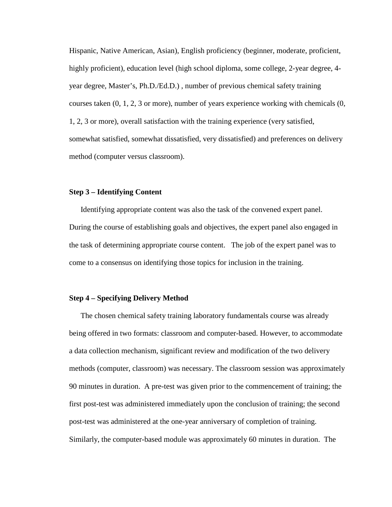Hispanic, Native American, Asian), English proficiency (beginner, moderate, proficient, highly proficient), education level (high school diploma, some college, 2-year degree, 4 year degree, Master's, Ph.D./Ed.D.) , number of previous chemical safety training courses taken (0, 1, 2, 3 or more), number of years experience working with chemicals (0, 1, 2, 3 or more), overall satisfaction with the training experience (very satisfied, somewhat satisfied, somewhat dissatisfied, very dissatisfied) and preferences on delivery method (computer versus classroom).

## **Step 3 – Identifying Content**

Identifying appropriate content was also the task of the convened expert panel. During the course of establishing goals and objectives, the expert panel also engaged in the task of determining appropriate course content. The job of the expert panel was to come to a consensus on identifying those topics for inclusion in the training.

### **Step 4 – Specifying Delivery Method**

The chosen chemical safety training laboratory fundamentals course was already being offered in two formats: classroom and computer-based. However, to accommodate a data collection mechanism, significant review and modification of the two delivery methods (computer, classroom) was necessary. The classroom session was approximately 90 minutes in duration. A pre-test was given prior to the commencement of training; the first post-test was administered immediately upon the conclusion of training; the second post-test was administered at the one-year anniversary of completion of training. Similarly, the computer-based module was approximately 60 minutes in duration. The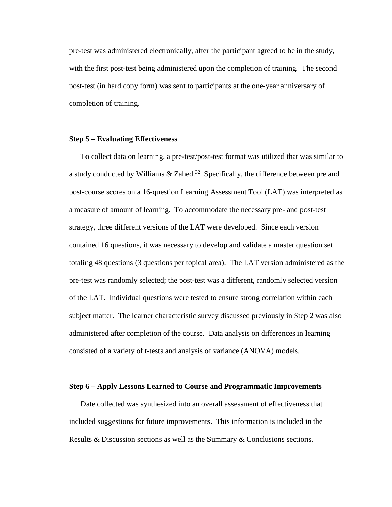pre-test was administered electronically, after the participant agreed to be in the study, with the first post-test being administered upon the completion of training. The second post-test (in hard copy form) was sent to participants at the one-year anniversary of completion of training.

### **Step 5 – Evaluating Effectiveness**

To collect data on learning, a pre-test/post-test format was utilized that was similar to a study conducted by Williams  $\&$  Zahed.<sup>32</sup> Specifically, the difference between pre and post-course scores on a 16-question Learning Assessment Tool (LAT) was interpreted as a measure of amount of learning. To accommodate the necessary pre- and post-test strategy, three different versions of the LAT were developed. Since each version contained 16 questions, it was necessary to develop and validate a master question set totaling 48 questions (3 questions per topical area). The LAT version administered as the pre-test was randomly selected; the post-test was a different, randomly selected version of the LAT. Individual questions were tested to ensure strong correlation within each subject matter. The learner characteristic survey discussed previously in Step 2 was also administered after completion of the course. Data analysis on differences in learning consisted of a variety of t-tests and analysis of variance (ANOVA) models.

#### **Step 6 – Apply Lessons Learned to Course and Programmatic Improvements**

Date collected was synthesized into an overall assessment of effectiveness that included suggestions for future improvements. This information is included in the Results & Discussion sections as well as the Summary & Conclusions sections.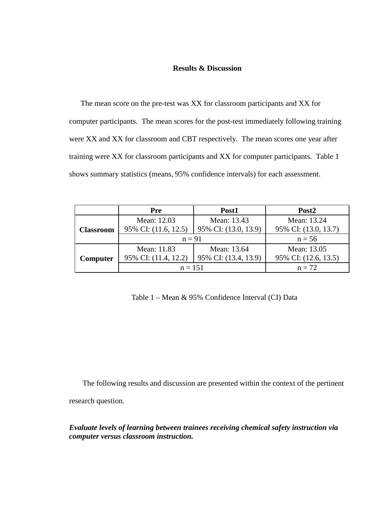## **Results & Discussion**

The mean score on the pre-test was XX for classroom participants and XX for computer participants. The mean scores for the post-test immediately following training were XX and XX for classroom and CBT respectively. The mean scores one year after training were XX for classroom participants and XX for computer participants. Table 1 shows summary statistics (means, 95% confidence intervals) for each assessment.

|                  | Pre                  | Post1                | Post <sub>2</sub>    |
|------------------|----------------------|----------------------|----------------------|
| <b>Classroom</b> | Mean: 12.03          | Mean: 13.43          | Mean: 13.24          |
|                  | 95% CI: (11.6, 12.5) | 95% CI: (13.0, 13.9) | 95% CI: (13.0, 13.7) |
|                  | $n = 91$             | $n = 56$             |                      |
| Computer         | Mean: 11.83          | Mean: 13.64          | Mean: 13.05          |
|                  | 95% CI: (11.4, 12.2) | 95% CI: (13.4, 13.9) | 95% CI: (12.6, 13.5) |
|                  | $n = 151$            |                      | $n = 72$             |

Table 1 – Mean & 95% Confidence Interval (CI) Data

The following results and discussion are presented within the context of the pertinent research question.

*Evaluate levels of learning between trainees receiving chemical safety instruction via computer versus classroom instruction.*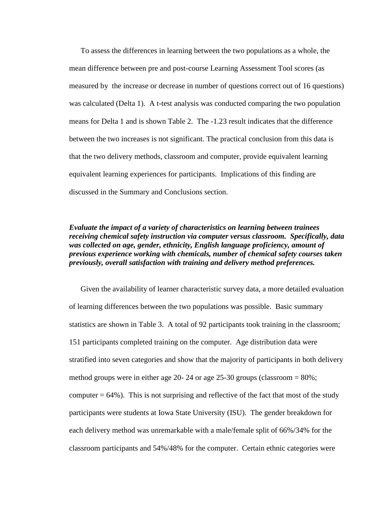To assess the differences in learning between the two populations as a whole, the mean difference between pre and post-course Learning Assessment Tool scores (as measured by the increase or decrease in number of questions correct out of 16 questions) was calculated (Delta 1). A t-test analysis was conducted comparing the two population means for Delta 1 and is shown Table 2. The -1.23 result indicates that the difference between the two increases is not significant. The practical conclusion from this data is that the two delivery methods, classroom and computer, provide equivalent learning equivalent learning experiences for participants. Implications of this finding are discussed in the Summary and Conclusions section.

# *Evaluate the impact of a variety of characteristics on learning between trainees receiving chemical safety instruction via computer versus classroom. Specifically, data was collected on age, gender, ethnicity, English language proficiency, amount of previous experience working with chemicals, number of chemical safety courses taken previously, overall satisfaction with training and delivery method preferences.*

Given the availability of learner characteristic survey data, a more detailed evaluation of learning differences between the two populations was possible. Basic summary statistics are shown in Table 3. A total of 92 participants took training in the classroom; 151 participants completed training on the computer. Age distribution data were stratified into seven categories and show that the majority of participants in both delivery method groups were in either age 20- 24 or age 25-30 groups (classroom  $= 80\%$ ; computer  $= 64\%$ ). This is not surprising and reflective of the fact that most of the study participants were students at Iowa State University (ISU). The gender breakdown for each delivery method was unremarkable with a male/female split of 66%/34% for the classroom participants and 54%/48% for the computer. Certain ethnic categories were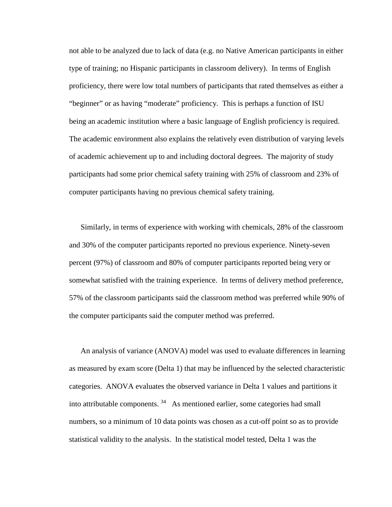not able to be analyzed due to lack of data (e.g. no Native American participants in either type of training; no Hispanic participants in classroom delivery). In terms of English proficiency, there were low total numbers of participants that rated themselves as either a "beginner" or as having "moderate" proficiency. This is perhaps a function of ISU being an academic institution where a basic language of English proficiency is required. The academic environment also explains the relatively even distribution of varying levels of academic achievement up to and including doctoral degrees. The majority of study participants had some prior chemical safety training with 25% of classroom and 23% of computer participants having no previous chemical safety training.

Similarly, in terms of experience with working with chemicals, 28% of the classroom and 30% of the computer participants reported no previous experience. Ninety-seven percent (97%) of classroom and 80% of computer participants reported being very or somewhat satisfied with the training experience. In terms of delivery method preference, 57% of the classroom participants said the classroom method was preferred while 90% of the computer participants said the computer method was preferred.

An analysis of variance (ANOVA) model was used to evaluate differences in learning as measured by exam score (Delta 1) that may be influenced by the selected characteristic categories. ANOVA evaluates the observed variance in Delta 1 values and partitions it into attributable components. 34 As mentioned earlier, some categories had small numbers, so a minimum of 10 data points was chosen as a cut-off point so as to provide statistical validity to the analysis. In the statistical model tested, Delta 1 was the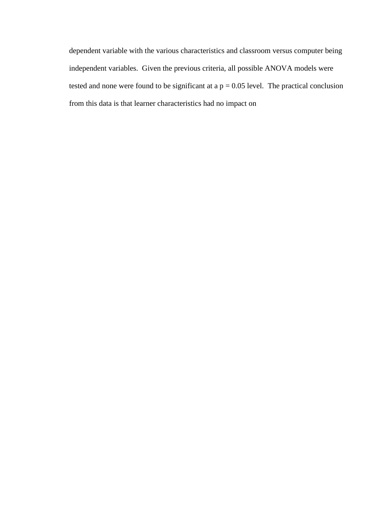dependent variable with the various characteristics and classroom versus computer being independent variables. Given the previous criteria, all possible ANOVA models were tested and none were found to be significant at  $a p = 0.05$  level. The practical conclusion from this data is that learner characteristics had no impact on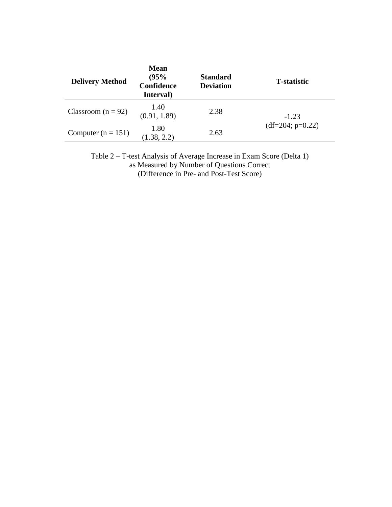| <b>Delivery Method</b> | <b>Mean</b><br>(95%<br>Confidence<br>Interval) | <b>Standard</b><br><b>Deviation</b> | <b>T</b> -statistic           |  |
|------------------------|------------------------------------------------|-------------------------------------|-------------------------------|--|
| Classroom ( $n = 92$ ) | 1.40<br>(0.91, 1.89)                           | 2.38                                | $-1.23$<br>$(df=204; p=0.22)$ |  |
| Computer $(n = 151)$   | 1.80<br>(1.38, 2.2)                            | 2.63                                |                               |  |

Table 2 – T-test Analysis of Average Increase in Exam Score (Delta 1) as Measured by Number of Questions Correct (Difference in Pre- and Post-Test Score)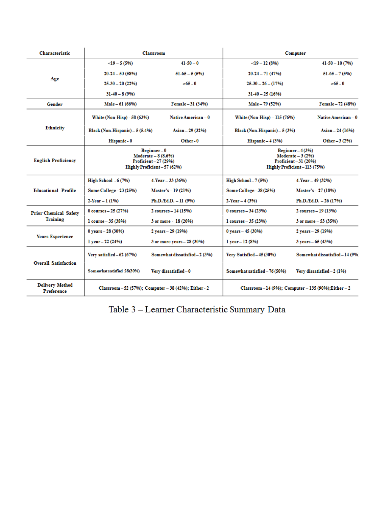| <b>Characteristic</b>                    | <b>Classroom</b>                                                                         |                                | Computer                                                                                      |                                 |
|------------------------------------------|------------------------------------------------------------------------------------------|--------------------------------|-----------------------------------------------------------------------------------------------|---------------------------------|
| Age                                      | $\leq$ 19 – 5 (5%)                                                                       | $41 - 50 - 0$                  | $<$ 19 – 12 (8%)                                                                              | 41-50 - 10 (7%)                 |
|                                          | $20-24-53(58%)$                                                                          | $51-65-5(5%)$                  | $20-24-71(47%)$                                                                               | $51-65-7(5%)$                   |
|                                          | $25-30-20(22%)$                                                                          | $>65 - 0$                      | $25-30-26-(17%)$                                                                              | $>65-0$                         |
|                                          | $31-40-8(9%$                                                                             |                                | $31-40-25(16%)$                                                                               |                                 |
| Gender                                   | Male - 61 (66%)                                                                          | Female - 31 (34%)              | Male - 79 (52%)                                                                               | Female - 72 (48%)               |
| <b>Ethnicity</b>                         | White (Non-Hisp) - 58 (63%)                                                              | <b>Native American - 0</b>     | White (Non-Hisp) - 115 (76%)                                                                  | <b>Native American – 0</b>      |
|                                          | Black (Non-Hispanic) - 5 (5.4%)                                                          | Asian - 29 (32%)               | Black (Non-Hispanic) - 5 (3%)                                                                 | Asian – 24 (16%)                |
|                                          | Hispanic - 0                                                                             | Other-0                        | Hispanic $-4(3%)$                                                                             | Other $-3(2%)$                  |
| <b>English Proficiency</b>               | Beginner-0<br>Moderate - 8 (8.6%)<br>Proficient-27 (29%)<br>Highly Proficient - 57 (62%) |                                | $Beginner-4(3%)$<br>$Modernate - 3 (2%)$<br>$Profit=31(20%)$<br>Highly Proficient - 113 (75%) |                                 |
| <b>Educational Profile</b>               | High School $-6(7%)$                                                                     | 4-Year - 33 (36%)              | $High School-7(5%)$                                                                           | $4$ -Year - 49 (32%)            |
|                                          | Some College - 23 (25%)                                                                  | Master's - 19 (21%)            | Some College - 38 (25%)                                                                       | Master's - 27 (18%)             |
|                                          | $2$ -Year $-1(1%)$                                                                       | $Ph.D.Ed.D. - 11 (9%)$         | $2$ -Year $-4(3%)$                                                                            | $Ph.D. / Ed.D. - 26 (17%)$      |
| <b>Prior Chemical Safety</b><br>Training | 0 courses $-25(27%)$                                                                     | $2 \text{ courses} - 14 (15%)$ | $0 \text{ courses} - 34 (23%)$                                                                | 2 courses - 19 (13%)            |
|                                          | $1 course - 35 (38%)$                                                                    | 3 or more - 18 (20%)           | 1 courses $-35(23%)$                                                                          | 3 or more $-53(35%)$            |
| <b>Years Experience</b>                  | 0 years $-28(30%)$                                                                       | 2 years - 29 (19%)             | 0 years $-45(30%)$                                                                            | 2 years - 29 (19%)              |
|                                          | $1$ year $-22(24%)$                                                                      | 3 or more years - 28 (30%)     | 1 year - 12 (8%)                                                                              | $3$ years $-65(43%)$            |
| <b>Overall Satisfaction</b>              | Very satisfied $-62(67%)$                                                                | Somewhat dissatisfied - 2 (3%) | Very Satisfied - 45 (30%)                                                                     | Somewhat dissatisfied - 14 (9%) |
|                                          | Somewhat satisfied 28(30%)                                                               | Very dissatisfied-0            | Somewhat satisfied - 76 (50%)                                                                 | Very dissatisfied - 2 (1%)      |
| <b>Delivery Method</b><br>Preference     | Classroom - 52 (57%); Computer - 38 (42%); Either - 2                                    |                                | Classroom $-14(9%)$ ; Computer $-135(90%)$ ; Either $-2$                                      |                                 |

 ${\bf Table ~3 - Learner~ Characteristic~ Summary~Data}$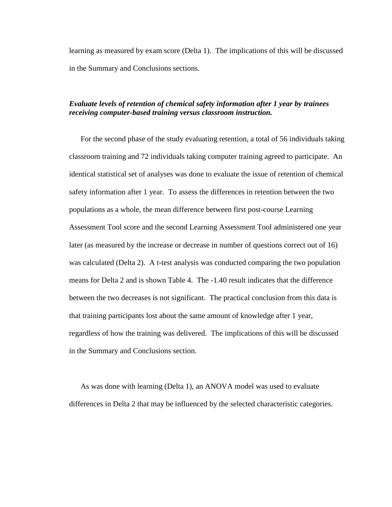learning as measured by exam score (Delta 1). The implications of this will be discussed in the Summary and Conclusions sections.

# *Evaluate levels of retention of chemical safety information after 1 year by trainees receiving computer-based training versus classroom instruction.*

For the second phase of the study evaluating retention, a total of 56 individuals taking classroom training and 72 individuals taking computer training agreed to participate. An identical statistical set of analyses was done to evaluate the issue of retention of chemical safety information after 1 year. To assess the differences in retention between the two populations as a whole, the mean difference between first post-course Learning Assessment Tool score and the second Learning Assessment Tool administered one year later (as measured by the increase or decrease in number of questions correct out of 16) was calculated (Delta 2). A t-test analysis was conducted comparing the two population means for Delta 2 and is shown Table 4. The -1.40 result indicates that the difference between the two decreases is not significant. The practical conclusion from this data is that training participants lost about the same amount of knowledge after 1 year, regardless of how the training was delivered. The implications of this will be discussed in the Summary and Conclusions section.

As was done with learning (Delta 1), an ANOVA model was used to evaluate differences in Delta 2 that may be influenced by the selected characteristic categories.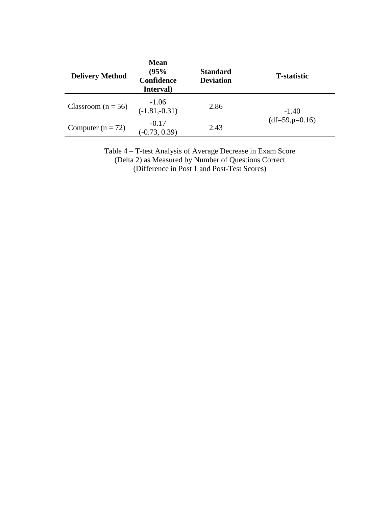| <b>Delivery Method</b> | <b>Mean</b><br>(95%<br>Confidence<br>Interval) | <b>Standard</b><br><b>Deviation</b> | <b>T</b> -statistic         |  |
|------------------------|------------------------------------------------|-------------------------------------|-----------------------------|--|
| Classroom ( $n = 56$ ) | $-1.06$<br>$(-1.81,-0.31)$                     | 2.86                                | $-1.40$<br>$(df=59,p=0.16)$ |  |
| Computer $(n = 72)$    | $-0.17$<br>$(-0.73, 0.39)$                     | 2.43                                |                             |  |

Table 4 – T-test Analysis of Average Decrease in Exam Score (Delta 2) as Measured by Number of Questions Correct (Difference in Post 1 and Post-Test Scores)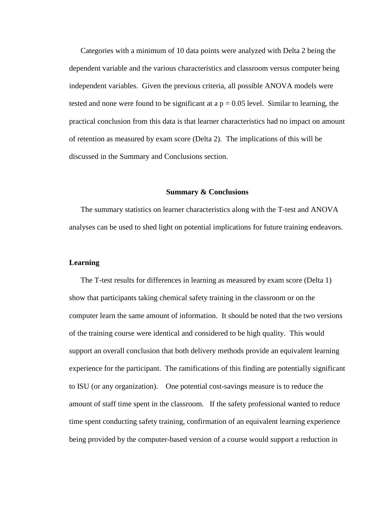Categories with a minimum of 10 data points were analyzed with Delta 2 being the dependent variable and the various characteristics and classroom versus computer being independent variables. Given the previous criteria, all possible ANOVA models were tested and none were found to be significant at a  $p = 0.05$  level. Similar to learning, the practical conclusion from this data is that learner characteristics had no impact on amount of retention as measured by exam score (Delta 2). The implications of this will be discussed in the Summary and Conclusions section.

#### **Summary & Conclusions**

The summary statistics on learner characteristics along with the T-test and ANOVA analyses can be used to shed light on potential implications for future training endeavors.

## **Learning**

The T-test results for differences in learning as measured by exam score (Delta 1) show that participants taking chemical safety training in the classroom or on the computer learn the same amount of information. It should be noted that the two versions of the training course were identical and considered to be high quality. This would support an overall conclusion that both delivery methods provide an equivalent learning experience for the participant. The ramifications of this finding are potentially significant to ISU (or any organization). One potential cost-savings measure is to reduce the amount of staff time spent in the classroom. If the safety professional wanted to reduce time spent conducting safety training, confirmation of an equivalent learning experience being provided by the computer-based version of a course would support a reduction in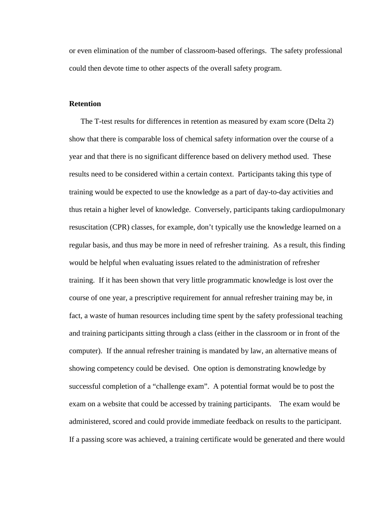or even elimination of the number of classroom-based offerings. The safety professional could then devote time to other aspects of the overall safety program.

## **Retention**

The T-test results for differences in retention as measured by exam score (Delta 2) show that there is comparable loss of chemical safety information over the course of a year and that there is no significant difference based on delivery method used. These results need to be considered within a certain context. Participants taking this type of training would be expected to use the knowledge as a part of day-to-day activities and thus retain a higher level of knowledge. Conversely, participants taking cardiopulmonary resuscitation (CPR) classes, for example, don't typically use the knowledge learned on a regular basis, and thus may be more in need of refresher training. As a result, this finding would be helpful when evaluating issues related to the administration of refresher training. If it has been shown that very little programmatic knowledge is lost over the course of one year, a prescriptive requirement for annual refresher training may be, in fact, a waste of human resources including time spent by the safety professional teaching and training participants sitting through a class (either in the classroom or in front of the computer). If the annual refresher training is mandated by law, an alternative means of showing competency could be devised. One option is demonstrating knowledge by successful completion of a "challenge exam". A potential format would be to post the exam on a website that could be accessed by training participants. The exam would be administered, scored and could provide immediate feedback on results to the participant. If a passing score was achieved, a training certificate would be generated and there would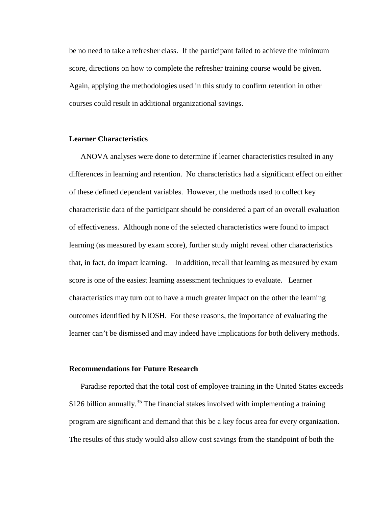be no need to take a refresher class. If the participant failed to achieve the minimum score, directions on how to complete the refresher training course would be given. Again, applying the methodologies used in this study to confirm retention in other courses could result in additional organizational savings.

## **Learner Characteristics**

ANOVA analyses were done to determine if learner characteristics resulted in any differences in learning and retention. No characteristics had a significant effect on either of these defined dependent variables. However, the methods used to collect key characteristic data of the participant should be considered a part of an overall evaluation of effectiveness. Although none of the selected characteristics were found to impact learning (as measured by exam score), further study might reveal other characteristics that, in fact, do impact learning. In addition, recall that learning as measured by exam score is one of the easiest learning assessment techniques to evaluate. Learner characteristics may turn out to have a much greater impact on the other the learning outcomes identified by NIOSH. For these reasons, the importance of evaluating the learner can't be dismissed and may indeed have implications for both delivery methods.

#### **Recommendations for Future Research**

Paradise reported that the total cost of employee training in the United States exceeds  $$126$  billion annually.<sup>35</sup> The financial stakes involved with implementing a training program are significant and demand that this be a key focus area for every organization. The results of this study would also allow cost savings from the standpoint of both the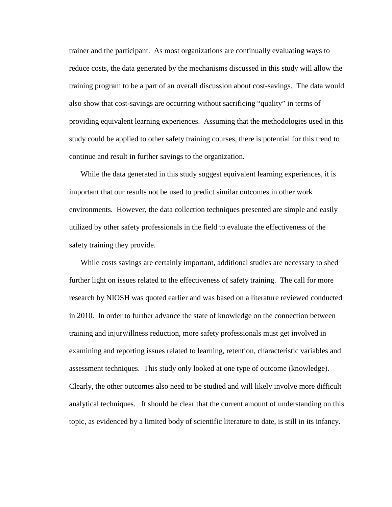trainer and the participant. As most organizations are continually evaluating ways to reduce costs, the data generated by the mechanisms discussed in this study will allow the training program to be a part of an overall discussion about cost-savings. The data would also show that cost-savings are occurring without sacrificing "quality" in terms of providing equivalent learning experiences. Assuming that the methodologies used in this study could be applied to other safety training courses, there is potential for this trend to continue and result in further savings to the organization.

While the data generated in this study suggest equivalent learning experiences, it is important that our results not be used to predict similar outcomes in other work environments. However, the data collection techniques presented are simple and easily utilized by other safety professionals in the field to evaluate the effectiveness of the safety training they provide.

While costs savings are certainly important, additional studies are necessary to shed further light on issues related to the effectiveness of safety training. The call for more research by NIOSH was quoted earlier and was based on a literature reviewed conducted in 2010. In order to further advance the state of knowledge on the connection between training and injury/illness reduction, more safety professionals must get involved in examining and reporting issues related to learning, retention, characteristic variables and assessment techniques. This study only looked at one type of outcome (knowledge). Clearly, the other outcomes also need to be studied and will likely involve more difficult analytical techniques. It should be clear that the current amount of understanding on this topic, as evidenced by a limited body of scientific literature to date, is still in its infancy.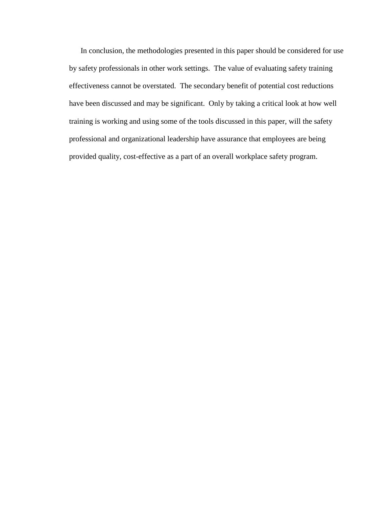In conclusion, the methodologies presented in this paper should be considered for use by safety professionals in other work settings. The value of evaluating safety training effectiveness cannot be overstated. The secondary benefit of potential cost reductions have been discussed and may be significant. Only by taking a critical look at how well training is working and using some of the tools discussed in this paper, will the safety professional and organizational leadership have assurance that employees are being provided quality, cost-effective as a part of an overall workplace safety program.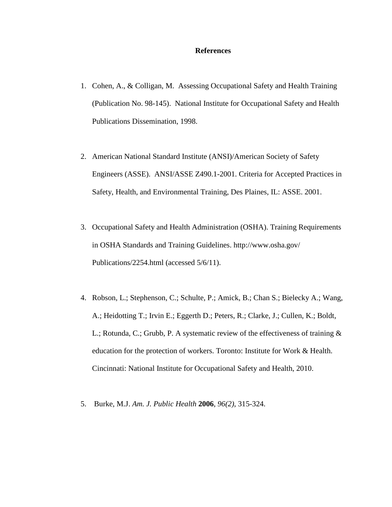#### **References**

- 1. Cohen, A., & Colligan, M. Assessing Occupational Safety and Health Training (Publication No. 98-145). National Institute for Occupational Safety and Health Publications Dissemination, 1998.
- 2. American National Standard Institute (ANSI)/American Society of Safety Engineers (ASSE). ANSI/ASSE Z490.1-2001. Criteria for Accepted Practices in Safety, Health, and Environmental Training, Des Plaines, IL: ASSE. 2001.
- 3. Occupational Safety and Health Administration (OSHA). Training Requirements in OSHA Standards and Training Guidelines. http://www.osha.gov/ Publications/2254.html (accessed 5/6/11).
- 4. Robson, L.; Stephenson, C.; Schulte, P.; Amick, B.; Chan S.; Bielecky A.; Wang, A.; Heidotting T.; Irvin E.; Eggerth D.; Peters, R.; Clarke, J.; Cullen, K.; Boldt, L.; Rotunda, C.; Grubb, P. A systematic review of the effectiveness of training & education for the protection of workers. Toronto: Institute for Work & Health. Cincinnati: National Institute for Occupational Safety and Health, 2010.
- 5. Burke, M.J. *Am. J. Public Health* **2006**, *96(2)*, 315-324.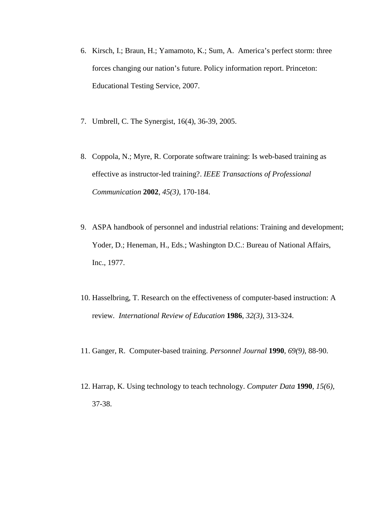- 6. Kirsch, I.; Braun, H.; Yamamoto, K.; Sum, A. America's perfect storm: three forces changing our nation's future. Policy information report. Princeton: Educational Testing Service, 2007.
- 7. Umbrell, C. The Synergist, 16(4), 36-39, 2005.
- 8. Coppola, N.; Myre, R. Corporate software training: Is web-based training as effective as instructor-led training?. *IEEE Transactions of Professional Communication* **2002**, *45(3)*, 170-184.
- 9. ASPA handbook of personnel and industrial relations: Training and development; Yoder, D.; Heneman, H., Eds.; Washington D.C.: Bureau of National Affairs, Inc., 1977.
- 10. Hasselbring, T. Research on the effectiveness of computer-based instruction: A review*. International Review of Education* **1986**, *32(3)*, 313-324.
- 11. Ganger, R. Computer-based training. *Personnel Journal* **1990**, *69(9)*, 88-90.
- 12. Harrap, K. Using technology to teach technology. *Computer Data* **1990**, *15(6)*, 37-38.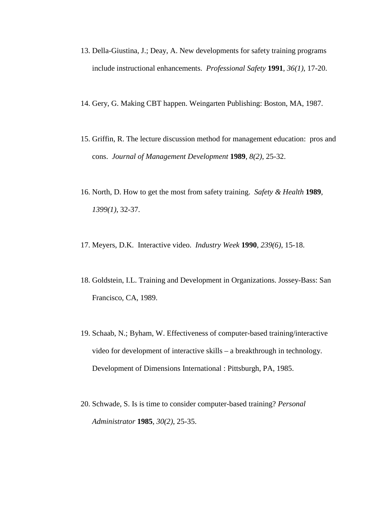- 13. Della-Giustina, J.; Deay, A. New developments for safety training programs include instructional enhancements. *Professional Safety* **1991**, *36(1)*, 17-20.
- 14. Gery, G. Making CBT happen. Weingarten Publishing: Boston, MA, 1987.
- 15. Griffin, R. The lecture discussion method for management education: pros and cons. *Journal of Management Development* **1989**, *8(2)*, 25-32.
- 16. North, D. How to get the most from safety training. *Safety & Health* **1989**, *1399(1)*, 32-37.
- 17. Meyers, D.K. Interactive video. *Industry Week* **1990**, *239(6)*, 15-18.
- 18. Goldstein, I.L. Training and Development in Organizations. Jossey-Bass: San Francisco, CA, 1989.
- 19. Schaab, N.; Byham, W. Effectiveness of computer-based training/interactive video for development of interactive skills – a breakthrough in technology. Development of Dimensions International : Pittsburgh, PA, 1985.
- 20. Schwade, S. Is is time to consider computer-based training? *Personal Administrator* **1985**, *30(2)*, 25-35.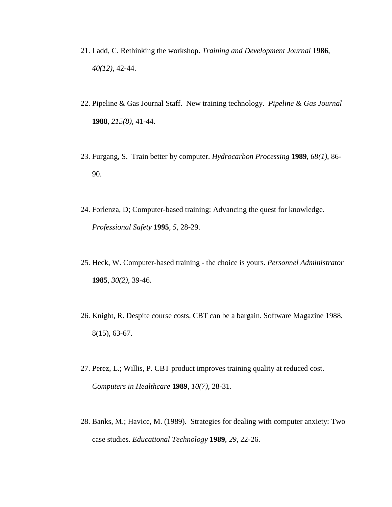- 21. Ladd, C. Rethinking the workshop. *Training and Development Journal* **1986**, *40(12)*, 42-44.
- 22. Pipeline & Gas Journal Staff. New training technology. *Pipeline & Gas Journal* **1988**, *215(8)*, 41-44.
- 23. Furgang, S. Train better by computer. *Hydrocarbon Processing* **1989**, *68(1)*, 86- 90.
- 24. Forlenza, D; Computer-based training: Advancing the quest for knowledge. *Professional Safety* **1995**, *5*, 28-29.
- 25. Heck, W. Computer-based training the choice is yours. *Personnel Administrator* **1985**, *30(2)*, 39-46.
- 26. Knight, R. Despite course costs, CBT can be a bargain. Software Magazine 1988, 8(15), 63-67.
- 27. Perez, L.; Willis, P. CBT product improves training quality at reduced cost. *Computers in Healthcare* **1989**, *10(7)*, 28-31.
- 28. Banks, M.; Havice, M. (1989). Strategies for dealing with computer anxiety: Two case studies. *Educational Technology* **1989**, *29*, 22-26.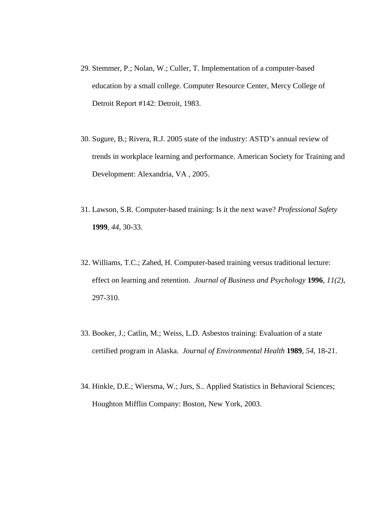- 29. Stemmer, P.; Nolan, W.; Culler, T. Implementation of a computer-based education by a small college. Computer Resource Center, Mercy College of Detroit Report #142: Detroit, 1983.
- 30. Sugure, B.; Rivera, R.J. 2005 state of the industry: ASTD's annual review of trends in workplace learning and performance. American Society for Training and Development: Alexandria, VA , 2005.
- 31. Lawson, S.R. Computer-based training: Is it the next wave? *Professional Safety* **1999**, *44*, 30-33.
- 32. Williams, T.C.; Zahed, H. Computer-based training versus traditional lecture: effect on learning and retention. *Journal of Business and Psychology* **1996**, *11(2)*, 297-310.
- 33. Booker, J.; Catlin, M.; Weiss, L.D. Asbestos training: Evaluation of a state certified program in Alaska. *Journal of Environmental Health* **1989**, *54*, 18-21.
- 34. Hinkle, D.E.; Wiersma, W.; Jurs, S.. Applied Statistics in Behavioral Sciences; Houghton Mifflin Company: Boston, New York, 2003.